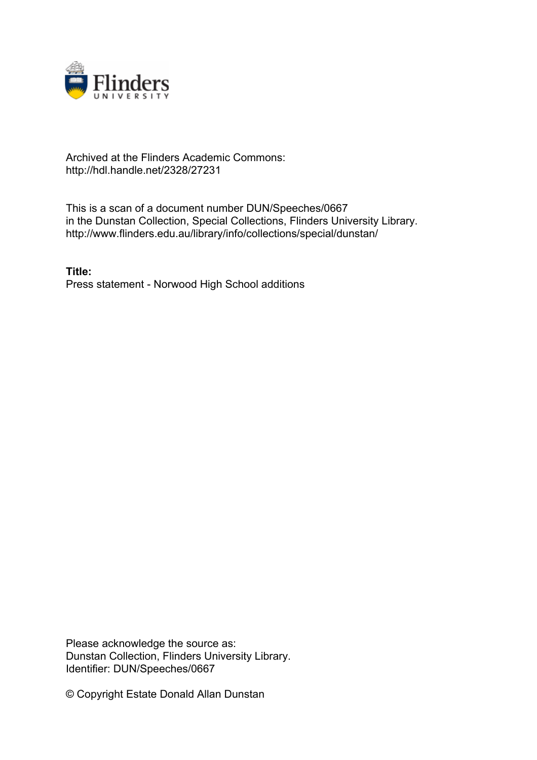

## Archived at the Flinders Academic Commons: http://hdl.handle.net/2328/27231

This is a scan of a document number DUN/Speeches/0667 in the Dunstan Collection, Special Collections, Flinders University Library. http://www.flinders.edu.au/library/info/collections/special/dunstan/

**Title:** Press statement - Norwood High School additions

Please acknowledge the source as: Dunstan Collection, Flinders University Library. Identifier: DUN/Speeches/0667

© Copyright Estate Donald Allan Dunstan